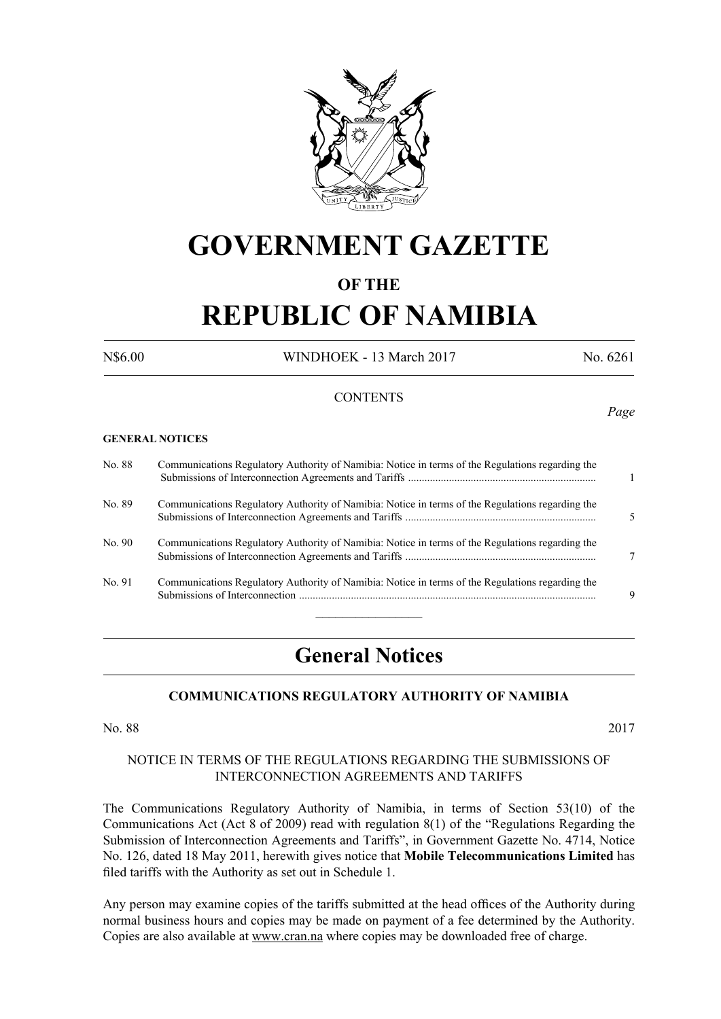

# **GOVERNMENT GAZETTE**

# **OF THE**

# **REPUBLIC OF NAMIBIA**

N\$6.00 WINDHOEK - 13 March 2017 No. 6261

*Page*

#### **CONTENTS**

#### **GENERAL NOTICES**

| No. 88 | Communications Regulatory Authority of Namibia: Notice in terms of the Regulations regarding the |    |
|--------|--------------------------------------------------------------------------------------------------|----|
| No. 89 | Communications Regulatory Authority of Namibia: Notice in terms of the Regulations regarding the | 5. |
| No. 90 | Communications Regulatory Authority of Namibia: Notice in terms of the Regulations regarding the |    |
| No. 91 | Communications Regulatory Authority of Namibia: Notice in terms of the Regulations regarding the | 9  |
|        |                                                                                                  |    |

# **General Notices**

#### **COMMUNICATIONS REGULATORY AUTHORITY OF NAMIBIA**

No. 88 2017

#### NOTICE IN TERMS OF THE REGULATIONS REGARDING THE SUBMISSIONS OF INTERCONNECTION AGREEMENTS AND TARIFFS

The Communications Regulatory Authority of Namibia, in terms of Section 53(10) of the Communications Act (Act 8 of 2009) read with regulation 8(1) of the "Regulations Regarding the Submission of Interconnection Agreements and Tariffs", in Government Gazette No. 4714, Notice No. 126, dated 18 May 2011, herewith gives notice that **Mobile Telecommunications Limited** has filed tariffs with the Authority as set out in Schedule 1.

Any person may examine copies of the tariffs submitted at the head offices of the Authority during normal business hours and copies may be made on payment of a fee determined by the Authority. Copies are also available at www.cran.na where copies may be downloaded free of charge.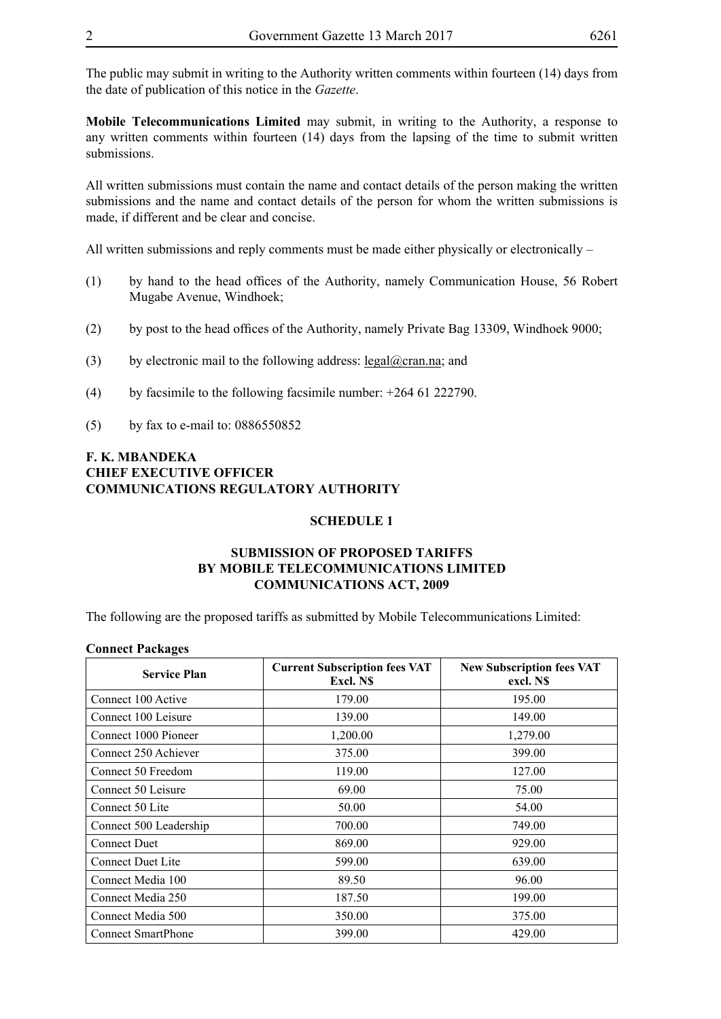The public may submit in writing to the Authority written comments within fourteen (14) days from the date of publication of this notice in the *Gazette*.

**Mobile Telecommunications Limited** may submit, in writing to the Authority, a response to any written comments within fourteen (14) days from the lapsing of the time to submit written submissions.

All written submissions must contain the name and contact details of the person making the written submissions and the name and contact details of the person for whom the written submissions is made, if different and be clear and concise.

All written submissions and reply comments must be made either physically or electronically –

- (1) by hand to the head offices of the Authority, namely Communication House, 56 Robert Mugabe Avenue, Windhoek;
- (2) by post to the head offices of the Authority, namely Private Bag 13309, Windhoek 9000;
- (3) by electronic mail to the following address:  $\text{legal}(\partial \text{cran} \cdot \text{na})$ ; and
- (4) by facsimile to the following facsimile number:  $+26461222790$ .
- (5) by fax to e-mail to: 0886550852

# **F. K. MBANDEKA CHIEF EXECUTIVE OFFICER COMMUNICATIONS REGULATORY AUTHORITY**

#### **SCHEDULE 1**

## **SUBMISSION OF PROPOSED TARIFFS BY MOBILE TELECOMMUNICATIONS LIMITED COMMUNICATIONS ACT, 2009**

The following are the proposed tariffs as submitted by Mobile Telecommunications Limited:

#### **Connect Packages**

| <b>Service Plan</b>       | <b>Current Subscription fees VAT</b><br>Excl. NS | <b>New Subscription fees VAT</b><br>excl. N\$ |
|---------------------------|--------------------------------------------------|-----------------------------------------------|
| Connect 100 Active        | 179.00                                           | 195.00                                        |
| Connect 100 Leisure       | 139.00                                           | 149.00                                        |
| Connect 1000 Pioneer      | 1,200.00                                         | 1,279.00                                      |
| Connect 250 Achiever      | 375.00                                           | 399.00                                        |
| Connect 50 Freedom        | 119.00                                           | 127.00                                        |
| Connect 50 Leisure        | 69.00                                            | 75.00                                         |
| Connect 50 Lite           | 50.00                                            | 54.00                                         |
| Connect 500 Leadership    | 700.00                                           | 749.00                                        |
| <b>Connect Duet</b>       | 869.00                                           | 929.00                                        |
| <b>Connect Duet Lite</b>  | 599.00                                           | 639.00                                        |
| Connect Media 100         | 89.50                                            | 96.00                                         |
| Connect Media 250         | 187.50                                           | 199.00                                        |
| Connect Media 500         | 350.00                                           | 375.00                                        |
| <b>Connect SmartPhone</b> | 399.00                                           | 429.00                                        |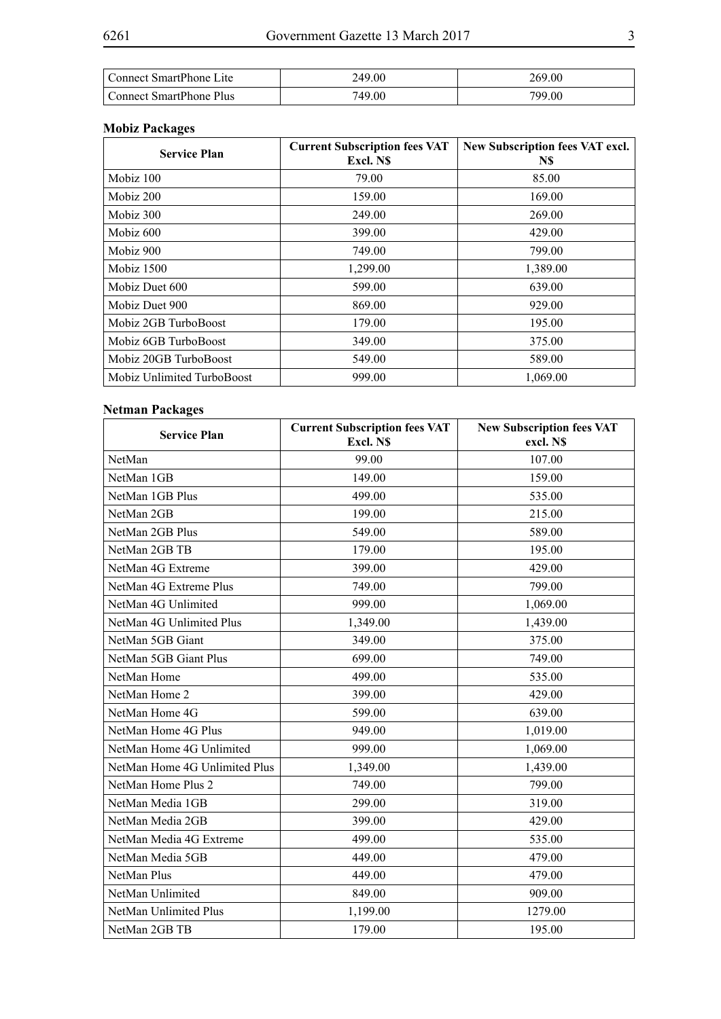| Connect SmartPhone Lite        | 249.00 | 269.00 |
|--------------------------------|--------|--------|
| <b>Connect SmartPhone Plus</b> | 749.00 | 799.00 |

# **Mobiz Packages**

| <b>Service Plan</b>        | <b>Current Subscription fees VAT</b><br>Excl. NS | New Subscription fees VAT excl.<br>N\$ |
|----------------------------|--------------------------------------------------|----------------------------------------|
| Mobiz 100                  | 79.00                                            | 85.00                                  |
| Mobiz 200                  | 159.00                                           | 169.00                                 |
| Mobiz 300                  | 249.00                                           | 269.00                                 |
| Mobiz 600                  | 399.00                                           | 429.00                                 |
| Mobiz 900                  | 749.00                                           | 799.00                                 |
| Mobiz 1500                 | 1,299.00                                         | 1,389.00                               |
| Mobiz Duet 600             | 599.00                                           | 639.00                                 |
| Mobiz Duet 900             | 869.00                                           | 929.00                                 |
| Mobiz 2GB TurboBoost       | 179.00                                           | 195.00                                 |
| Mobiz 6GB TurboBoost       | 349.00                                           | 375.00                                 |
| Mobiz 20GB TurboBoost      | 549.00                                           | 589.00                                 |
| Mobiz Unlimited TurboBoost | 999.00                                           | 1,069.00                               |

# **Netman Packages**

| <b>Service Plan</b>           | <b>Current Subscription fees VAT</b><br>Excl. N\$ | <b>New Subscription fees VAT</b><br>excl. N\$ |
|-------------------------------|---------------------------------------------------|-----------------------------------------------|
| NetMan                        | 99.00                                             | 107.00                                        |
| NetMan 1GB                    | 149.00                                            | 159.00                                        |
| NetMan 1GB Plus               | 499.00                                            | 535.00                                        |
| NetMan 2GB                    | 199.00                                            | 215.00                                        |
| NetMan 2GB Plus               | 549.00                                            | 589.00                                        |
| NetMan 2GB TB                 | 179.00                                            | 195.00                                        |
| NetMan 4G Extreme             | 399.00                                            | 429.00                                        |
| NetMan 4G Extreme Plus        | 749.00                                            | 799.00                                        |
| NetMan 4G Unlimited           | 999.00                                            | 1,069.00                                      |
| NetMan 4G Unlimited Plus      | 1,349.00                                          | 1,439.00                                      |
| NetMan 5GB Giant              | 349.00                                            | 375.00                                        |
| NetMan 5GB Giant Plus         | 699.00                                            | 749.00                                        |
| NetMan Home                   | 499.00                                            | 535.00                                        |
| NetMan Home 2                 | 399.00                                            | 429.00                                        |
| NetMan Home 4G                | 599.00                                            | 639.00                                        |
| NetMan Home 4G Plus           | 949.00                                            | 1,019.00                                      |
| NetMan Home 4G Unlimited      | 999.00                                            | 1,069.00                                      |
| NetMan Home 4G Unlimited Plus | 1,349.00                                          | 1,439.00                                      |
| NetMan Home Plus 2            | 749.00                                            | 799.00                                        |
| NetMan Media 1GB              | 299.00                                            | 319.00                                        |
| NetMan Media 2GB              | 399.00                                            | 429.00                                        |
| NetMan Media 4G Extreme       | 499.00                                            | 535.00                                        |
| NetMan Media 5GB              | 449.00                                            | 479.00                                        |
| NetMan Plus                   | 449.00                                            | 479.00                                        |
| NetMan Unlimited              | 849.00                                            | 909.00                                        |
| NetMan Unlimited Plus         | 1,199.00                                          | 1279.00                                       |
| NetMan 2GB TB                 | 179.00                                            | 195.00                                        |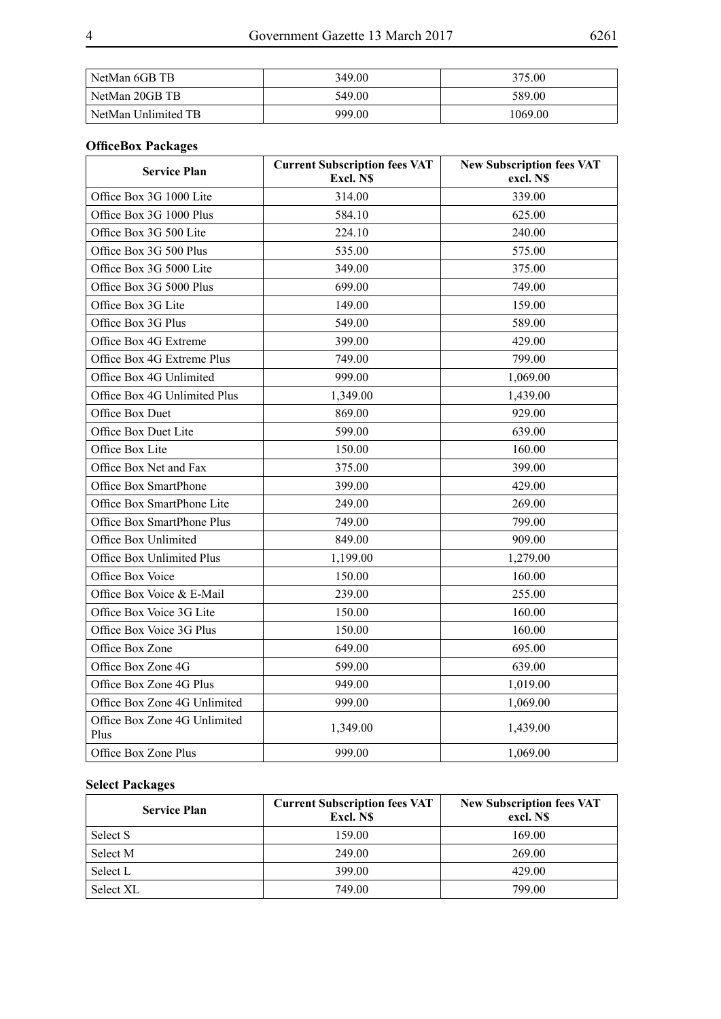| NetMan 6GB TB       | 349.00 | 375.00  |
|---------------------|--------|---------|
| l NetMan 20GB TB    | 549.00 | 589.00  |
| NetMan Unlimited TB | 999.00 | 1069.00 |

# **OfficeBox Packages**

| <b>Service Plan</b>                  | <b>Current Subscription fees VAT</b><br>Excl. N\$ | <b>New Subscription fees VAT</b><br>excl. N\$ |
|--------------------------------------|---------------------------------------------------|-----------------------------------------------|
| Office Box 3G 1000 Lite              | 314.00                                            | 339.00                                        |
| Office Box 3G 1000 Plus              | 584.10                                            | 625.00                                        |
| Office Box 3G 500 Lite               | 224.10                                            | 240.00                                        |
| Office Box 3G 500 Plus               | 535.00                                            | 575.00                                        |
| Office Box 3G 5000 Lite              | 349.00                                            | 375.00                                        |
| Office Box 3G 5000 Plus              | 699.00                                            | 749.00                                        |
| Office Box 3G Lite                   | 149.00                                            | 159.00                                        |
| Office Box 3G Plus                   | 549.00                                            | 589.00                                        |
| Office Box 4G Extreme                | 399.00                                            | 429.00                                        |
| Office Box 4G Extreme Plus           | 749.00                                            | 799.00                                        |
| Office Box 4G Unlimited              | 999.00                                            | 1,069.00                                      |
| Office Box 4G Unlimited Plus         | 1,349.00                                          | 1,439.00                                      |
| Office Box Duet                      | 869.00                                            | 929.00                                        |
| Office Box Duet Lite                 | 599.00                                            | 639.00                                        |
| Office Box Lite                      | 150.00                                            | 160.00                                        |
| Office Box Net and Fax               | 375.00                                            | 399.00                                        |
| Office Box SmartPhone                | 399.00                                            | 429.00                                        |
| Office Box SmartPhone Lite           | 249.00                                            | 269.00                                        |
| Office Box SmartPhone Plus           | 749.00                                            | 799.00                                        |
| Office Box Unlimited                 | 849.00                                            | 909.00                                        |
| Office Box Unlimited Plus            | 1,199.00                                          | 1,279.00                                      |
| Office Box Voice                     | 150.00                                            | 160.00                                        |
| Office Box Voice & E-Mail            | 239.00                                            | 255.00                                        |
| Office Box Voice 3G Lite             | 150.00                                            | 160.00                                        |
| Office Box Voice 3G Plus             | 150.00                                            | 160.00                                        |
| Office Box Zone                      | 649.00                                            | 695.00                                        |
| Office Box Zone 4G                   | 599.00                                            | 639.00                                        |
| Office Box Zone 4G Plus              | 949.00                                            | 1,019.00                                      |
| Office Box Zone 4G Unlimited         | 999.00                                            | 1,069.00                                      |
| Office Box Zone 4G Unlimited<br>Plus | 1,349.00                                          | 1,439.00                                      |
| Office Box Zone Plus                 | 999.00                                            | 1,069.00                                      |

# **Select Packages**

| <b>Service Plan</b> | <b>Current Subscription fees VAT</b><br>Excl. NS | <b>New Subscription fees VAT</b><br>excl. NS |
|---------------------|--------------------------------------------------|----------------------------------------------|
| Select S            | 159.00                                           | 169.00                                       |
| Select M            | 249.00                                           | 269.00                                       |
| Select L            | 399.00                                           | 429.00                                       |
| Select XL           | 749.00                                           | 799.00                                       |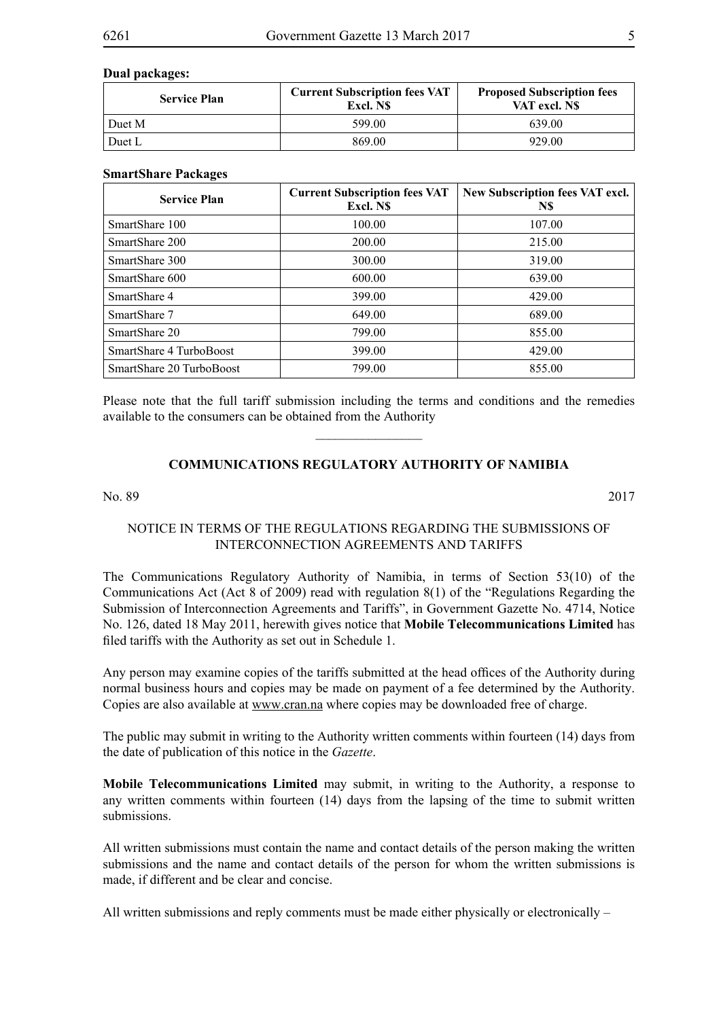#### **Dual packages:**

| <b>Service Plan</b> | <b>Current Subscription fees VAT</b><br>Excl. NS | <b>Proposed Subscription fees</b><br>VAT excl. NS |
|---------------------|--------------------------------------------------|---------------------------------------------------|
| Duet M              | 599.00                                           | 639.00                                            |
| Duet L              | 869.00                                           | 929.00                                            |

#### **SmartShare Packages**

| <b>Service Plan</b>      | <b>Current Subscription fees VAT</b><br>Excl. NS | New Subscription fees VAT excl.<br>N\$ |
|--------------------------|--------------------------------------------------|----------------------------------------|
| SmartShare 100           | 100.00                                           | 107.00                                 |
| SmartShare 200           | 200.00                                           | 215.00                                 |
| SmartShare 300           | 300.00                                           | 319.00                                 |
| SmartShare 600           | 600.00                                           | 639.00                                 |
| SmartShare 4             | 399.00                                           | 429.00                                 |
| SmartShare 7             | 649.00                                           | 689.00                                 |
| SmartShare 20            | 799.00                                           | 855.00                                 |
| SmartShare 4 TurboBoost  | 399.00                                           | 429.00                                 |
| SmartShare 20 TurboBoost | 799.00                                           | 855.00                                 |

Please note that the full tariff submission including the terms and conditions and the remedies available to the consumers can be obtained from the Authority

 $\overline{\phantom{a}}$  , where  $\overline{\phantom{a}}$ 

# **COMMUNICATIONS REGULATORY AUTHORITY OF NAMIBIA**

No. 89 2017

# NOTICE IN TERMS OF THE REGULATIONS REGARDING THE SUBMISSIONS OF INTERCONNECTION AGREEMENTS AND TARIFFS

The Communications Regulatory Authority of Namibia, in terms of Section 53(10) of the Communications Act (Act 8 of 2009) read with regulation 8(1) of the "Regulations Regarding the Submission of Interconnection Agreements and Tariffs", in Government Gazette No. 4714, Notice No. 126, dated 18 May 2011, herewith gives notice that **Mobile Telecommunications Limited** has filed tariffs with the Authority as set out in Schedule 1.

Any person may examine copies of the tariffs submitted at the head offices of the Authority during normal business hours and copies may be made on payment of a fee determined by the Authority. Copies are also available at www.cran.na where copies may be downloaded free of charge.

The public may submit in writing to the Authority written comments within fourteen (14) days from the date of publication of this notice in the *Gazette*.

**Mobile Telecommunications Limited** may submit, in writing to the Authority, a response to any written comments within fourteen (14) days from the lapsing of the time to submit written submissions.

All written submissions must contain the name and contact details of the person making the written submissions and the name and contact details of the person for whom the written submissions is made, if different and be clear and concise.

All written submissions and reply comments must be made either physically or electronically –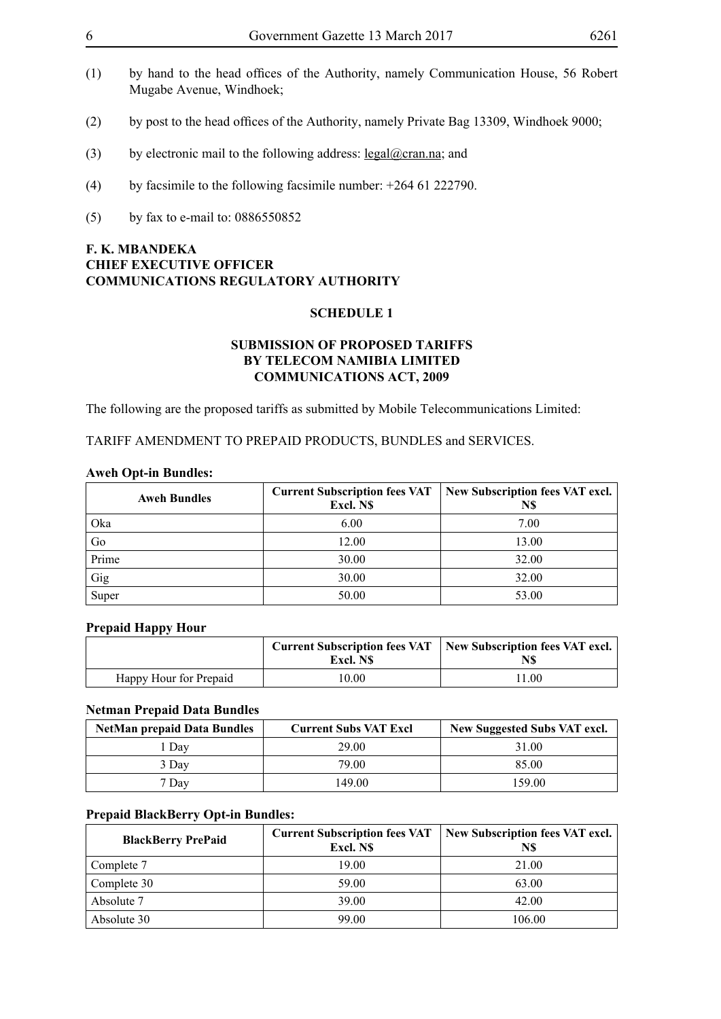- (1) by hand to the head offices of the Authority, namely Communication House, 56 Robert Mugabe Avenue, Windhoek;
- (2) by post to the head offices of the Authority, namely Private Bag 13309, Windhoek 9000;
- (3) by electronic mail to the following address:  $\text{legal@cran.na}$ ; and
- (4) by facsimile to the following facsimile number:  $+264$  61 222790.
- (5) by fax to e-mail to: 0886550852

# **F. K. MBANDEKA CHIEF EXECUTIVE OFFICER COMMUNICATIONS REGULATORY AUTHORITY**

#### **SCHEDULE 1**

### **SUBMISSION OF PROPOSED TARIFFS BY TELECOM NAMIBIA LIMITED COMMUNICATIONS ACT, 2009**

The following are the proposed tariffs as submitted by Mobile Telecommunications Limited:

TARIFF AMENDMENT TO PREPAID PRODUCTS, BUNDLES and SERVICES.

#### **Aweh Opt-in Bundles:**

| <b>Aweh Bundles</b> | <b>Current Subscription fees VAT</b><br>Excl. N\$ | New Subscription fees VAT excl.<br>N\$ |
|---------------------|---------------------------------------------------|----------------------------------------|
| Oka                 | 6.00                                              | 7.00                                   |
| Go                  | 12.00                                             | 13.00                                  |
| Prime               | 30.00                                             | 32.00                                  |
| Gig                 | 30.00                                             | 32.00                                  |
| Super               | 50.00                                             | 53.00                                  |

#### **Prepaid Happy Hour**

|                        |          | Current Subscription fees VAT   New Subscription fees VAT excl. |
|------------------------|----------|-----------------------------------------------------------------|
|                        | Excl. NS | N\$                                                             |
| Happy Hour for Prepaid | 10.00    | 1.00                                                            |

#### **Netman Prepaid Data Bundles**

| <b>NetMan prepaid Data Bundles</b> | <b>Current Subs VAT Excl</b> | New Suggested Subs VAT excl. |
|------------------------------------|------------------------------|------------------------------|
| Dav                                | 29.00                        | 31.00                        |
| 3 Day                              | 79.00                        | 85.00                        |
| 7 Dav                              | 149.00                       | 159.00                       |

#### **Prepaid BlackBerry Opt-in Bundles:**

| <b>BlackBerry PrePaid</b> | <b>Current Subscription fees VAT</b><br>Excl. NS | New Subscription fees VAT excl.<br>N\$ |  |
|---------------------------|--------------------------------------------------|----------------------------------------|--|
| Complete 7                | 19.00                                            | 21.00                                  |  |
| Complete 30               | 59.00                                            | 63.00                                  |  |
| Absolute 7                | 39.00                                            | 42.00                                  |  |
| Absolute 30               | 99.00                                            | 106.00                                 |  |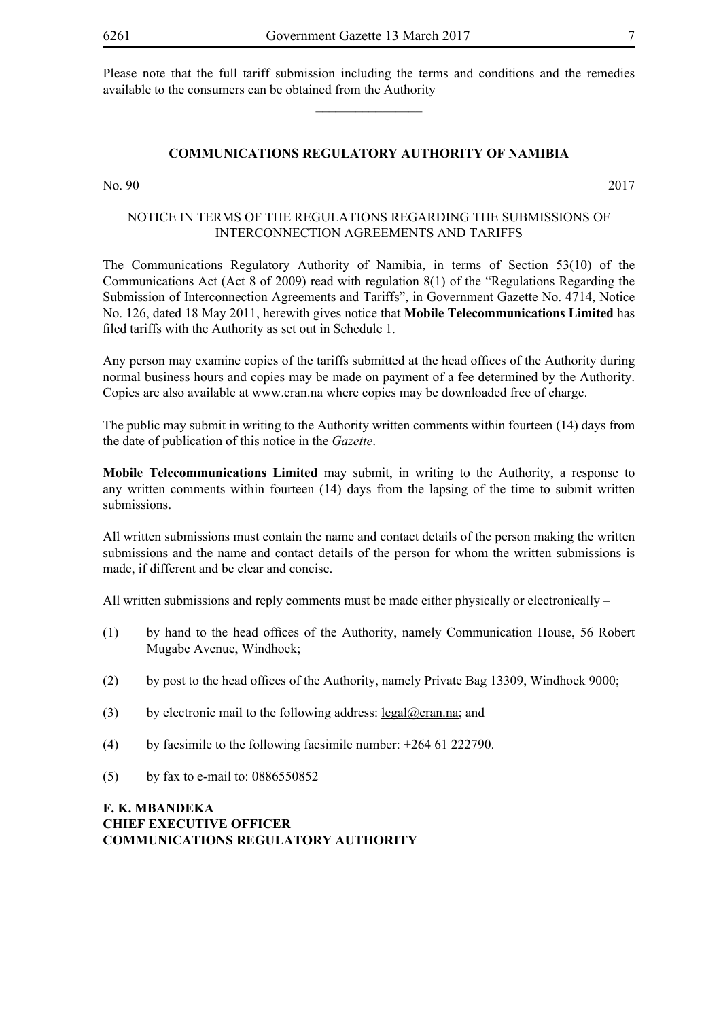Please note that the full tariff submission including the terms and conditions and the remedies available to the consumers can be obtained from the Authority

 $\overline{\phantom{a}}$  , where  $\overline{\phantom{a}}$ 

#### **COMMUNICATIONS REGULATORY AUTHORITY OF NAMIBIA**

No. 90 2017

### NOTICE IN TERMS OF THE REGULATIONS REGARDING THE SUBMISSIONS OF INTERCONNECTION AGREEMENTS AND TARIFFS

The Communications Regulatory Authority of Namibia, in terms of Section 53(10) of the Communications Act (Act 8 of 2009) read with regulation 8(1) of the "Regulations Regarding the Submission of Interconnection Agreements and Tariffs", in Government Gazette No. 4714, Notice No. 126, dated 18 May 2011, herewith gives notice that **Mobile Telecommunications Limited** has filed tariffs with the Authority as set out in Schedule 1.

Any person may examine copies of the tariffs submitted at the head offices of the Authority during normal business hours and copies may be made on payment of a fee determined by the Authority. Copies are also available at www.cran.na where copies may be downloaded free of charge.

The public may submit in writing to the Authority written comments within fourteen (14) days from the date of publication of this notice in the *Gazette*.

**Mobile Telecommunications Limited** may submit, in writing to the Authority, a response to any written comments within fourteen (14) days from the lapsing of the time to submit written submissions.

All written submissions must contain the name and contact details of the person making the written submissions and the name and contact details of the person for whom the written submissions is made, if different and be clear and concise.

All written submissions and reply comments must be made either physically or electronically –

- (1) by hand to the head offices of the Authority, namely Communication House, 56 Robert Mugabe Avenue, Windhoek;
- (2) by post to the head offices of the Authority, namely Private Bag 13309, Windhoek 9000;
- (3) by electronic mail to the following address: legal@cran.na; and
- (4) by facsimile to the following facsimile number: +264 61 222790.
- (5) by fax to e-mail to: 0886550852

**F. K. MBANDEKA CHIEF EXECUTIVE OFFICER COMMUNICATIONS REGULATORY AUTHORITY**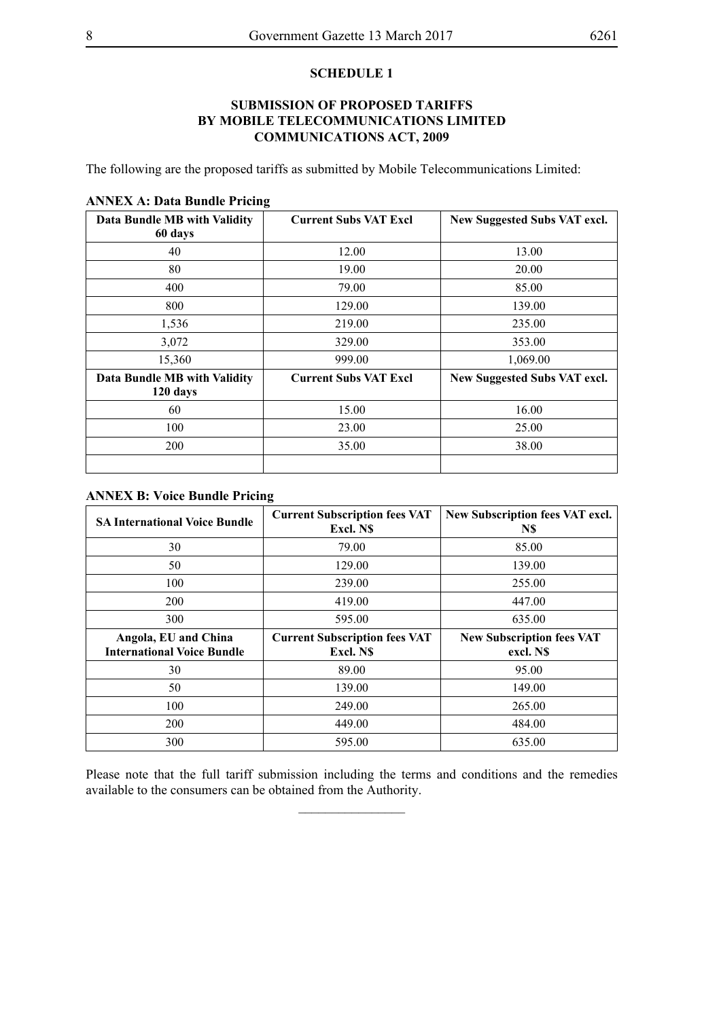#### **SCHEDULE 1**

## **SUBMISSION OF PROPOSED TARIFFS BY MOBILE TELECOMMUNICATIONS LIMITED COMMUNICATIONS ACT, 2009**

The following are the proposed tariffs as submitted by Mobile Telecommunications Limited:

| Data Bundle MB with Validity<br>60 days  | <b>Current Subs VAT Excl</b> | New Suggested Subs VAT excl. |  |
|------------------------------------------|------------------------------|------------------------------|--|
| 40                                       | 12.00                        | 13.00                        |  |
| 80                                       | 19.00                        | 20.00                        |  |
| 400                                      | 79.00                        | 85.00                        |  |
| 800                                      | 129.00                       | 139.00                       |  |
| 1,536                                    | 219.00                       | 235.00                       |  |
| 3,072                                    | 329.00                       | 353.00                       |  |
| 15,360                                   | 999.00                       | 1,069.00                     |  |
| Data Bundle MB with Validity<br>120 days | <b>Current Subs VAT Excl</b> | New Suggested Subs VAT excl. |  |
| 60                                       | 15.00                        | 16.00                        |  |
| 100                                      | 23.00                        | 25.00                        |  |
| 200                                      | 35.00                        | 38.00                        |  |

#### **ANNEX A: Data Bundle Pricing**

## **ANNEX B: Voice Bundle Pricing**

| <b>SA International Voice Bundle</b>                      | <b>Current Subscription fees VAT</b><br>Excl. N\$ | New Subscription fees VAT excl.<br>N\$        |  |
|-----------------------------------------------------------|---------------------------------------------------|-----------------------------------------------|--|
| 30                                                        | 79.00                                             | 85.00                                         |  |
| 50                                                        | 129.00                                            | 139.00                                        |  |
| 100                                                       | 239.00                                            | 255.00                                        |  |
| 200                                                       | 419.00                                            | 447.00                                        |  |
| 300                                                       | 595.00                                            | 635.00                                        |  |
| Angola, EU and China<br><b>International Voice Bundle</b> | <b>Current Subscription fees VAT</b><br>Excl. N\$ | <b>New Subscription fees VAT</b><br>excl. N\$ |  |
| 30                                                        | 89.00                                             | 95.00                                         |  |
| 50                                                        | 139.00                                            | 149.00                                        |  |
| 100                                                       | 249.00                                            | 265.00                                        |  |
| 200                                                       |                                                   |                                               |  |
|                                                           | 449.00                                            | 484.00                                        |  |

Please note that the full tariff submission including the terms and conditions and the remedies available to the consumers can be obtained from the Authority.

 $\overline{\phantom{a}}$  , where  $\overline{\phantom{a}}$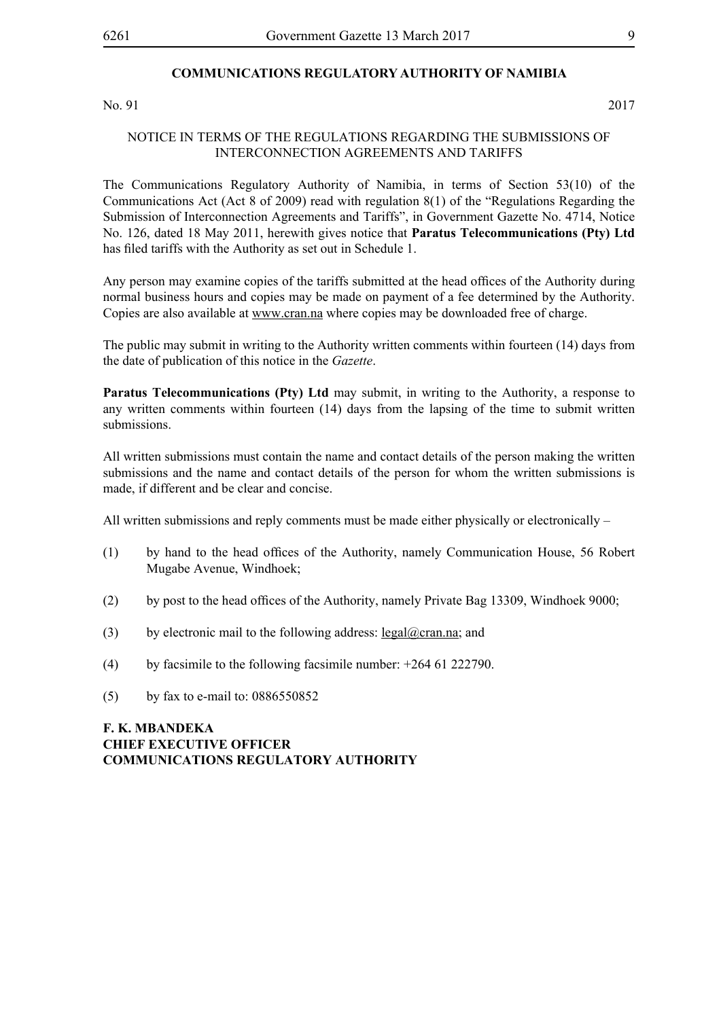#### **COMMUNICATIONS REGULATORY AUTHORITY OF NAMIBIA**

No. 91 2017

#### NOTICE IN TERMS OF THE REGULATIONS REGARDING THE SUBMISSIONS OF INTERCONNECTION AGREEMENTS AND TARIFFS

The Communications Regulatory Authority of Namibia, in terms of Section 53(10) of the Communications Act (Act 8 of 2009) read with regulation 8(1) of the "Regulations Regarding the Submission of Interconnection Agreements and Tariffs", in Government Gazette No. 4714, Notice No. 126, dated 18 May 2011, herewith gives notice that **Paratus Telecommunications (Pty) Ltd** has filed tariffs with the Authority as set out in Schedule 1.

Any person may examine copies of the tariffs submitted at the head offices of the Authority during normal business hours and copies may be made on payment of a fee determined by the Authority. Copies are also available at www.cran.na where copies may be downloaded free of charge.

The public may submit in writing to the Authority written comments within fourteen (14) days from the date of publication of this notice in the *Gazette*.

**Paratus Telecommunications (Pty) Ltd** may submit, in writing to the Authority, a response to any written comments within fourteen (14) days from the lapsing of the time to submit written submissions.

All written submissions must contain the name and contact details of the person making the written submissions and the name and contact details of the person for whom the written submissions is made, if different and be clear and concise.

All written submissions and reply comments must be made either physically or electronically –

- (1) by hand to the head offices of the Authority, namely Communication House, 56 Robert Mugabe Avenue, Windhoek;
- (2) by post to the head offices of the Authority, namely Private Bag 13309, Windhoek 9000;
- (3) by electronic mail to the following address: legal@cran.na; and
- (4) by facsimile to the following facsimile number:  $+264$  61 222790.
- (5) by fax to e-mail to: 0886550852

# **F. K. MBANDEKA CHIEF EXECUTIVE OFFICER COMMUNICATIONS REGULATORY AUTHORITY**